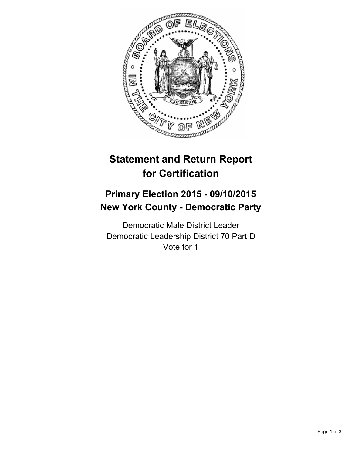

# **Statement and Return Report for Certification**

## **Primary Election 2015 - 09/10/2015 New York County - Democratic Party**

Democratic Male District Leader Democratic Leadership District 70 Part D Vote for 1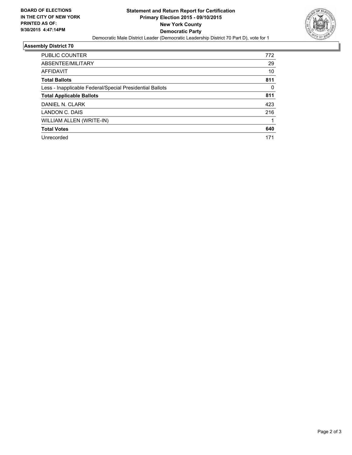

### **Assembly District 70**

| <b>PUBLIC COUNTER</b>                                    | 772      |
|----------------------------------------------------------|----------|
| ABSENTEE/MILITARY                                        | 29       |
| <b>AFFIDAVIT</b>                                         | 10       |
| <b>Total Ballots</b>                                     | 811      |
| Less - Inapplicable Federal/Special Presidential Ballots | $\Omega$ |
| <b>Total Applicable Ballots</b>                          | 811      |
| DANIEL N. CLARK                                          | 423      |
| LANDON C. DAIS                                           | 216      |
| WILLIAM ALLEN (WRITE-IN)                                 |          |
| <b>Total Votes</b>                                       | 640      |
| Unrecorded                                               | 171      |